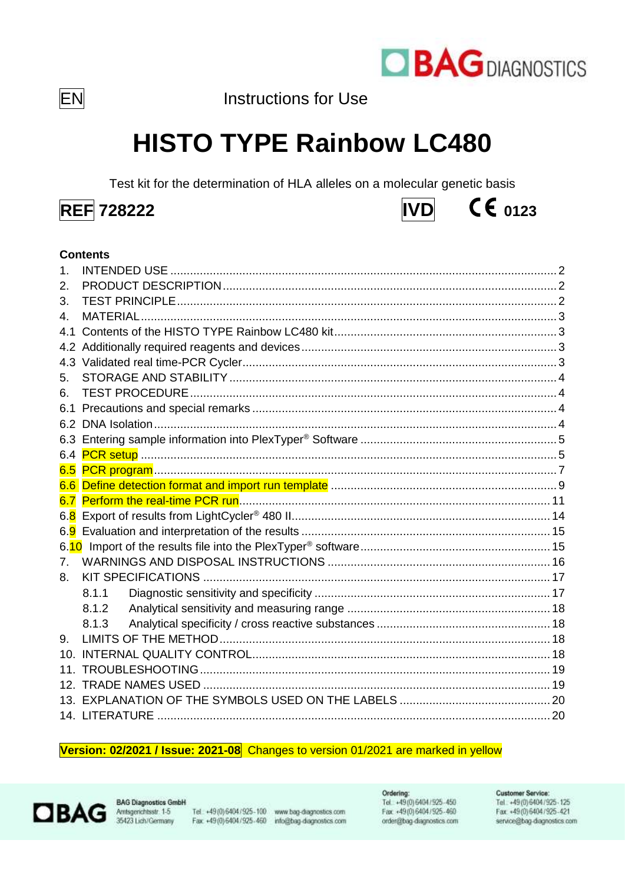

Instructions for Use

# **HISTO TYPE Rainbow LC480**

Test kit for the determination of HLA alleles on a molecular genetic basis

## **REF 728222**

#### $CE_{0123}$ **IVD**

#### **Contents**

| 1.                             |       |  |
|--------------------------------|-------|--|
| 2.                             |       |  |
| 3.                             |       |  |
| 4.                             |       |  |
| 4.1                            |       |  |
|                                |       |  |
| 4.3                            |       |  |
| 5.                             |       |  |
| 6.                             |       |  |
| 6.1                            |       |  |
|                                |       |  |
| 6.3                            |       |  |
| 6.4                            |       |  |
| 6.5                            |       |  |
| 6.6                            |       |  |
| 6.7                            |       |  |
| 6.8                            |       |  |
| 6.9                            |       |  |
|                                |       |  |
| $7_{\scriptscriptstyle{\sim}}$ |       |  |
| 8.                             |       |  |
|                                | 8.1.1 |  |
|                                | 8.1.2 |  |
|                                | 8.1.3 |  |
| 9                              |       |  |
| $10 -$                         |       |  |
| 11                             |       |  |
|                                |       |  |
|                                |       |  |
|                                |       |  |

#### Version: 02/2021 / Issue: 2021-08 Changes to version 01/2021 are marked in yellow



**BAG Diagnostics GmbH** 

Tel: +49 (0) 6404 / 925-100 www.bag-diagnostics.com Fax: +49(0)6404/925-460 info@bag-diagnostics.com

Ordering: Tel: +49(0)6404/925-450 Fax: +49(0)6404/925-460 order@bag-diagnostics.com

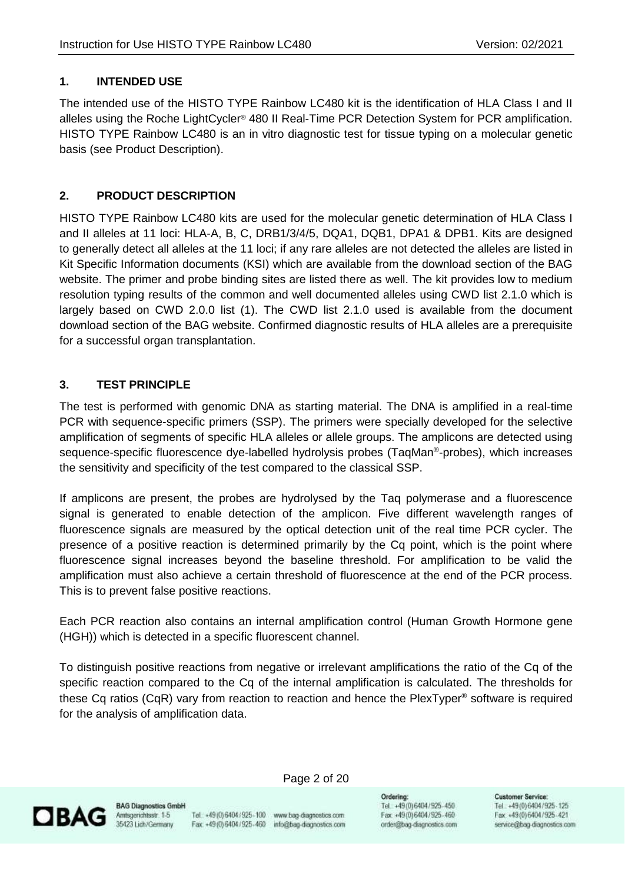#### <span id="page-1-0"></span>**1. INTENDED USE**

The intended use of the HISTO TYPE Rainbow LC480 kit is the identification of HLA Class I and II alleles using the Roche LightCycler® 480 II Real-Time PCR Detection System for PCR amplification. HISTO TYPE Rainbow LC480 is an in vitro diagnostic test for tissue typing on a molecular genetic basis (see Product Description).

#### <span id="page-1-1"></span>**2. PRODUCT DESCRIPTION**

HISTO TYPE Rainbow LC480 kits are used for the molecular genetic determination of HLA Class I and II alleles at 11 loci: HLA-A, B, C, DRB1/3/4/5, DQA1, DQB1, DPA1 & DPB1. Kits are designed to generally detect all alleles at the 11 loci; if any rare alleles are not detected the alleles are listed in Kit Specific Information documents (KSI) which are available from the download section of the BAG website. The primer and probe binding sites are listed there as well. The kit provides low to medium resolution typing results of the common and well documented alleles using CWD list 2.1.0 which is largely based on CWD 2.0.0 list (1). The CWD list 2.1.0 used is available from the document download section of the BAG website. Confirmed diagnostic results of HLA alleles are a prerequisite for a successful organ transplantation.

### <span id="page-1-2"></span>**3. TEST PRINCIPLE**

The test is performed with genomic DNA as starting material. The DNA is amplified in a real-time PCR with sequence-specific primers (SSP). The primers were specially developed for the selective amplification of segments of specific HLA alleles or allele groups. The amplicons are detected using sequence-specific fluorescence dye-labelled hydrolysis probes (TaqMan®-probes), which increases the sensitivity and specificity of the test compared to the classical SSP.

If amplicons are present, the probes are hydrolysed by the Taq polymerase and a fluorescence signal is generated to enable detection of the amplicon. Five different wavelength ranges of fluorescence signals are measured by the optical detection unit of the real time PCR cycler. The presence of a positive reaction is determined primarily by the Cq point, which is the point where fluorescence signal increases beyond the baseline threshold. For amplification to be valid the amplification must also achieve a certain threshold of fluorescence at the end of the PCR process. This is to prevent false positive reactions.

Each PCR reaction also contains an internal amplification control (Human Growth Hormone gene (HGH)) which is detected in a specific fluorescent channel.

To distinguish positive reactions from negative or irrelevant amplifications the ratio of the Cq of the specific reaction compared to the Cq of the internal amplification is calculated. The thresholds for these Cq ratios (CqR) vary from reaction to reaction and hence the PlexTyper® software is required for the analysis of amplification data.



**BAG Diagnostics GmbH** Amtsgerichtsstr. 1-5 35423 Lich/Germany

Tel.: +49 (0) 6404 / 925-100 www.bag-diagnostics.com Fax: +49(0)6404/925-460 info@bag-diagnostics.com

Page 2 of 20

Ordering: Tel: +49 (0) 6404 / 925 - 450 Fax: +49(0)6404/925-460 order@bag-diagnostics.com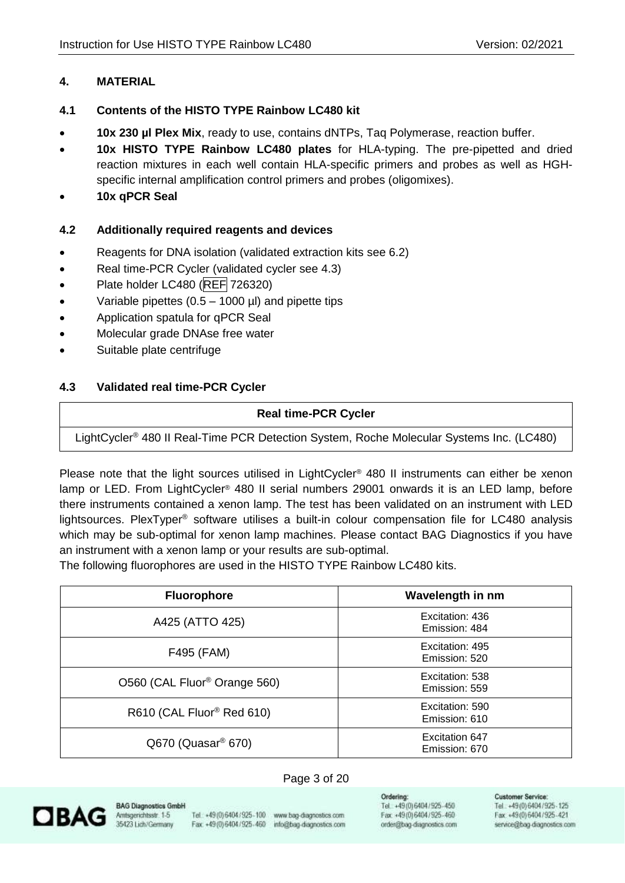#### <span id="page-2-0"></span>**4. MATERIAL**

#### <span id="page-2-1"></span>**4.1 Contents of the HISTO TYPE Rainbow LC480 kit**

- **10x 230 µl Plex Mix**, ready to use, contains dNTPs, Taq Polymerase, reaction buffer.
- **10x HISTO TYPE Rainbow LC480 plates** for HLA-typing. The pre-pipetted and dried reaction mixtures in each well contain HLA-specific primers and probes as well as HGHspecific internal amplification control primers and probes (oligomixes).
- **10x qPCR Seal**

#### <span id="page-2-2"></span>**4.2 Additionally required reagents and devices**

- Reagents for DNA isolation (validated extraction kits see 6.2)
- Real time-PCR Cycler (validated cycler see 4.3)
- Plate holder LC480 (REF 726320)
- Variable pipettes  $(0.5 1000 \mu l)$  and pipette tips
- Application spatula for qPCR Seal
- Molecular grade DNAse free water
- Suitable plate centrifuge

#### <span id="page-2-3"></span>**4.3 Validated real time-PCR Cycler**

#### **Real time-PCR Cycler**

LightCycler® 480 II Real-Time PCR Detection System, Roche Molecular Systems Inc. (LC480)

Please note that the light sources utilised in LightCycler® 480 II instruments can either be xenon lamp or LED. From LightCycler<sup>®</sup> 480 II serial numbers 29001 onwards it is an LED lamp, before there instruments contained a xenon lamp. The test has been validated on an instrument with LED lightsources. PlexTyper® software utilises a built-in colour compensation file for LC480 analysis which may be sub-optimal for xenon lamp machines. Please contact BAG Diagnostics if you have an instrument with a xenon lamp or your results are sub-optimal.

The following fluorophores are used in the HISTO TYPE Rainbow LC480 kits.

| <b>Fluorophore</b>                       | Wavelength in nm                 |
|------------------------------------------|----------------------------------|
| A425 (ATTO 425)                          | Excitation: 436<br>Emission: 484 |
| F495 (FAM)                               | Excitation: 495<br>Emission: 520 |
| O560 (CAL Fluor <sup>®</sup> Orange 560) | Excitation: 538<br>Emission: 559 |
| R610 (CAL Fluor® Red 610)                | Excitation: 590<br>Emission: 610 |
| $Q670$ (Quasar® 670)                     | Excitation 647<br>Emission: 670  |

#### Page 3 of 20



**BAG Diagnostics GmbH** Amtsgerichtsstr. 1-5 35423 Lich/Germany

Tel.: +49 (0) 6404 / 925-100 www.bag-diagnostics.com Fax: +49(0)6404/925-460 info@bag-diagnostics.com Ordering: Tel: +49(0)6404/925-450 Fax: +49(0)6404/925-460 order@bag-diagnostics.com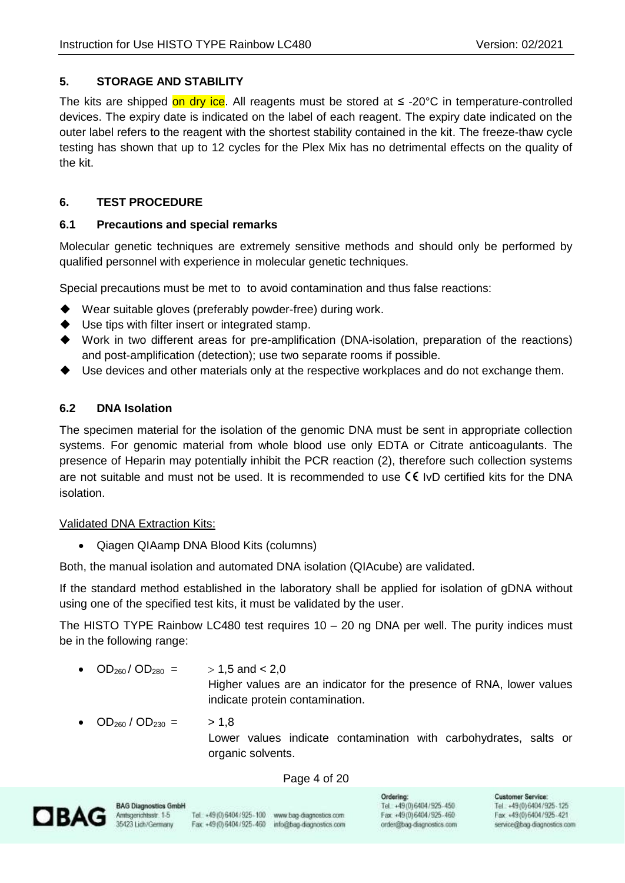#### <span id="page-3-0"></span>**5. STORAGE AND STABILITY**

The kits are shipped on dry ice. All reagents must be stored at  $\leq$  -20°C in temperature-controlled devices. The expiry date is indicated on the label of each reagent. The expiry date indicated on the outer label refers to the reagent with the shortest stability contained in the kit. The freeze-thaw cycle testing has shown that up to 12 cycles for the Plex Mix has no detrimental effects on the quality of the kit.

#### <span id="page-3-1"></span>**6. TEST PROCEDURE**

#### <span id="page-3-2"></span>**6.1 Precautions and special remarks**

Molecular genetic techniques are extremely sensitive methods and should only be performed by qualified personnel with experience in molecular genetic techniques.

Special precautions must be met to to avoid contamination and thus false reactions:

- ◆ Wear suitable gloves (preferably powder-free) during work.
- ◆ Use tips with filter insert or integrated stamp.
- ◆ Work in two different areas for pre-amplification (DNA-isolation, preparation of the reactions) and post-amplification (detection); use two separate rooms if possible.
- Use devices and other materials only at the respective workplaces and do not exchange them.

#### <span id="page-3-3"></span>**6.2 DNA Isolation**

The specimen material for the isolation of the genomic DNA must be sent in appropriate collection systems. For genomic material from whole blood use only EDTA or Citrate anticoagulants. The presence of Heparin may potentially inhibit the PCR reaction (2), therefore such collection systems are not suitable and must not be used. It is recommended to use  $\mathsf{C}\mathsf{\mathsf{E}}$  IvD certified kits for the DNA isolation.

#### Validated DNA Extraction Kits:

• Qiagen QIAamp DNA Blood Kits (columns)

Both, the manual isolation and automated DNA isolation (QIAcube) are validated.

If the standard method established in the laboratory shall be applied for isolation of gDNA without using one of the specified test kits, it must be validated by the user.

The HISTO TYPE Rainbow LC480 test requires 10 – 20 ng DNA per well. The purity indices must be in the following range:

•  $OD_{260}/OD_{280}$  =  $> 1.5$  and < 2.0

Higher values are an indicator for the presence of RNA, lower values indicate protein contamination.

 $OD_{260} / OD_{230} =$  > 1.8 Lower values indicate contamination with carbohydrates, salts or organic solvents.

#### Page 4 of 20



**BAG Diagnostics GmbH** Amtsgerichtsstr. 1-5 35423 Lich/Germany

Tel.: +49 (0) 6404 / 925-100 www.bag-diagnostics.com Fax: +49(0)6404/925-460 info@bag-diagnostics.com

Ordering: Tel: +49(0)6404/925-450 Fax: +49(0)6404/925-460 order@bag-diagnostics.com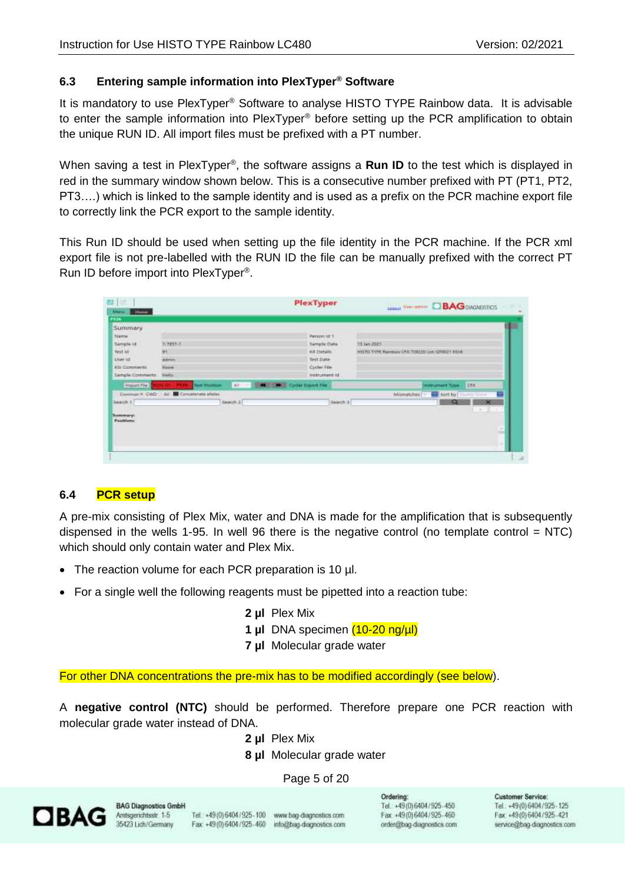#### <span id="page-4-0"></span>**6.3 Entering sample information into PlexTyper® Software**

It is mandatory to use PlexTyper® Software to analyse HISTO TYPE Rainbow data. It is advisable to enter the sample information into PlexTyper® before setting up the PCR amplification to obtain the unique RUN ID. All import files must be prefixed with a PT number.

When saving a test in PlexTyper®, the software assigns a Run ID to the test which is displayed in red in the summary window shown below. This is a consecutive number prefixed with PT (PT1, PT2, PT3….) which is linked to the sample identity and is used as a prefix on the PCR machine export file to correctly link the PCR export to the sample identity.

This Run ID should be used when setting up the file identity in the PCR machine. If the PCR xml export file is not pre-labelled with the RUN ID the file can be manually prefixed with the correct PT Run ID before import into PlexTyper® .

| 19<br>÷                                       |                                            | PlexTyper                            |                                              | <b>Longal View Interior C BAG DIADACETICS</b> |
|-----------------------------------------------|--------------------------------------------|--------------------------------------|----------------------------------------------|-----------------------------------------------|
| Merse.<br><b>Home</b><br>15.29                |                                            |                                      |                                              |                                               |
| Summary                                       |                                            |                                      |                                              |                                               |
| <b>Name</b>                                   |                                            | <b>Damper-list 1</b>                 |                                              |                                               |
| Sample (d)                                    | <b>WITEST-T</b>                            | Sample Date                          | 13 July 2011                                 |                                               |
| <b>TESTAS</b>                                 | <b>HH</b>                                  | Kit Details                          | HISTO TYPE Rambow CPR 728220 Let GT0021 RS14 |                                               |
| <b>LAUN SET</b>                               | <b>Admin</b>                               | Test Date                            |                                              |                                               |
| <b>KSI Comments</b>                           | <b>Tissue</b>                              | Cycler F6e                           |                                              |                                               |
| Sample Comments                               | Help.                                      | instrument ist                       |                                              |                                               |
| <b>Import Five</b>                            | 141<br><b>Test Platform</b><br>- 1         | <b>STATE LINE Cycler Copert Fire</b> |                                              | <b>IDO</b><br><b>Instrument Type</b>          |
|                                               | Convenir * CWD : All E Concelenate effeter |                                      | Militipo (Ties                               | sort by<br>÷                                  |
| Bearch F.                                     | Search 21                                  | Kearch 3                             |                                              | $\infty$<br>Q                                 |
| <b>START SAN</b>                              |                                            |                                      |                                              | <b>Section</b>                                |
|                                               |                                            |                                      |                                              |                                               |
| <b><i><u>Senapaigrut</u></i></b><br>Pasitives |                                            |                                      |                                              |                                               |
|                                               |                                            |                                      |                                              |                                               |
|                                               |                                            |                                      |                                              | s                                             |
|                                               |                                            |                                      |                                              | ٠                                             |

#### <span id="page-4-1"></span>**6.4 PCR setup**

A pre-mix consisting of Plex Mix, water and DNA is made for the amplification that is subsequently dispensed in the wells 1-95. In well 96 there is the negative control (no template control = NTC) which should only contain water and Plex Mix.

- The reaction volume for each PCR preparation is 10 µl.
- For a single well the following reagents must be pipetted into a reaction tube:
	- **2 µl** Plex Mix
	- **1 µl** DNA specimen (10-20 ng/µl)
	- **7 µl** Molecular grade water

For other DNA concentrations the pre-mix has to be modified accordingly (see below).

A **negative control (NTC)** should be performed. Therefore prepare one PCR reaction with molecular grade water instead of DNA.

- **2 µl** Plex Mix
- **8 µl** Molecular grade water

#### Page 5 of 20



**BAG Diagnostics GmbH** Amtsgerichtsstr. 1-5 35423 Lich/Germany

Tel.: +49 (0) 6404 / 925-100 www.bag-diagnostics.com Fax: +49(0)6404/925-460 info@bag-diagnostics.com

Ordering: Tel: +49 (0) 6404 / 925 - 450 Fax: +49(0)6404/925-460 order@bag-diagnostics.com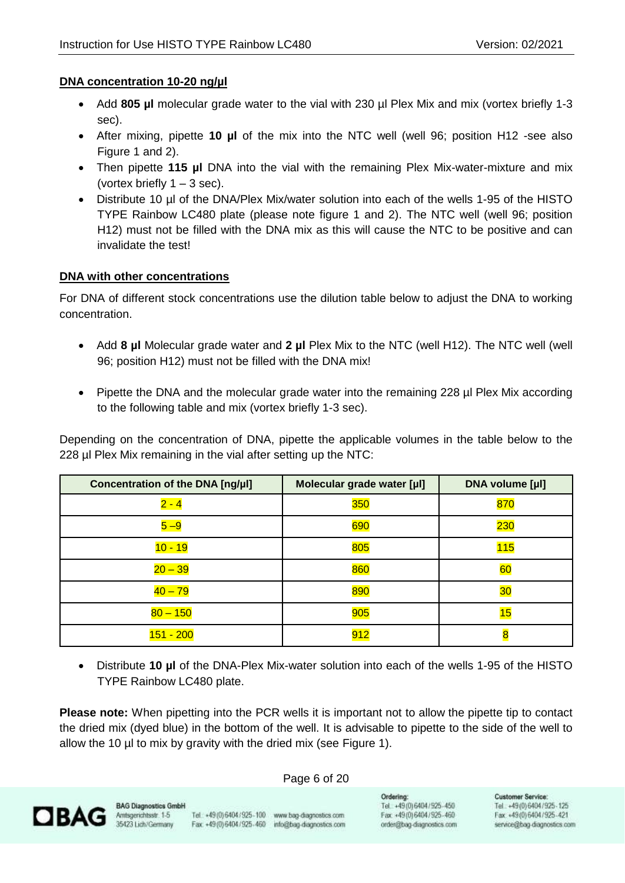#### **DNA concentration 10-20 ng/µl**

- Add **805 µl** molecular grade water to the vial with 230 µl Plex Mix and mix (vortex briefly 1-3 sec).
- After mixing, pipette **10 µl** of the mix into the NTC well (well 96; position H12 -see also Figure 1 and 2).
- Then pipette **115 µl** DNA into the vial with the remaining Plex Mix-water-mixture and mix (vortex briefly  $1 - 3$  sec).
- Distribute 10 µl of the DNA/Plex Mix/water solution into each of the wells 1-95 of the HISTO TYPE Rainbow LC480 plate (please note figure 1 and 2). The NTC well (well 96; position H12) must not be filled with the DNA mix as this will cause the NTC to be positive and can invalidate the test!

#### **DNA with other concentrations**

For DNA of different stock concentrations use the dilution table below to adjust the DNA to working concentration.

- Add **8 µl** Molecular grade water and **2 µl** Plex Mix to the NTC (well H12). The NTC well (well 96; position H12) must not be filled with the DNA mix!
- Pipette the DNA and the molecular grade water into the remaining 228 µl Plex Mix according to the following table and mix (vortex briefly 1-3 sec).

Depending on the concentration of DNA, pipette the applicable volumes in the table below to the 228 µl Plex Mix remaining in the vial after setting up the NTC:

| Concentration of the DNA [ng/µl] | Molecular grade water [µl] | <b>DNA volume [µl]</b> |
|----------------------------------|----------------------------|------------------------|
| $2 - 4$                          | 350                        | 870                    |
| $5 - 9$                          | 690                        | <b>230</b>             |
| 10 - 19                          | 805                        | 115                    |
| $20 - 39$                        | 860                        | 60                     |
| $40 - 79$                        | 890                        | 30                     |
| $80 - 150$                       | 905                        | 15                     |
| $151 - 200$                      | 912                        |                        |

• Distribute **10 µl** of the DNA-Plex Mix-water solution into each of the wells 1-95 of the HISTO TYPE Rainbow LC480 plate.

**Please note:** When pipetting into the PCR wells it is important not to allow the pipette tip to contact the dried mix (dyed blue) in the bottom of the well. It is advisable to pipette to the side of the well to allow the 10 µl to mix by gravity with the dried mix (see Figure 1).

#### Page 6 of 20



**BAG Diagnostics GmbH** Amtsgerichtsstr. 1-5 35423 Lich/Germany

Tel.: +49 (0) 6404 / 925-100 www.bag-diagnostics.com Fax: +49(0)6404/925-460 info@bag-diagnostics.com

Ordering: Tel: +49(0)6404/925-450 Fax: +49(0)6404/925-460 order@bag-diagnostics.com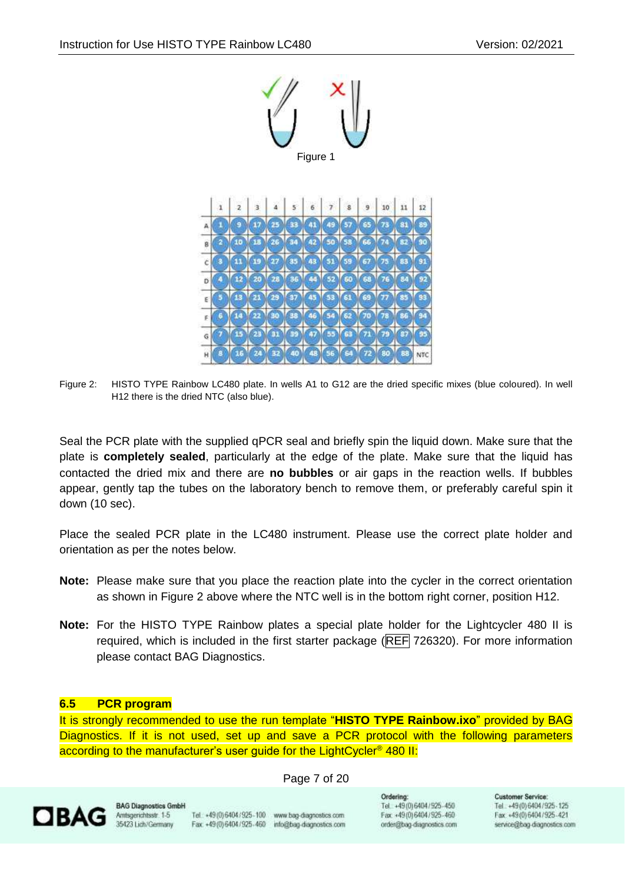

Figure 2: HISTO TYPE Rainbow LC480 plate. In wells A1 to G12 are the dried specific mixes (blue coloured). In well H12 there is the dried NTC (also blue).

Seal the PCR plate with the supplied qPCR seal and briefly spin the liquid down. Make sure that the plate is **completely sealed**, particularly at the edge of the plate. Make sure that the liquid has contacted the dried mix and there are **no bubbles** or air gaps in the reaction wells. If bubbles appear, gently tap the tubes on the laboratory bench to remove them, or preferably careful spin it down (10 sec).

Place the sealed PCR plate in the LC480 instrument. Please use the correct plate holder and orientation as per the notes below.

- **Note:** Please make sure that you place the reaction plate into the cycler in the correct orientation as shown in Figure 2 above where the NTC well is in the bottom right corner, position H12.
- **Note:** For the HISTO TYPE Rainbow plates a special plate holder for the Lightcycler 480 II is required, which is included in the first starter package (REF 726320). For more information please contact BAG Diagnostics.

#### <span id="page-6-0"></span>**6.5 PCR program**

It is strongly recommended to use the run template "**HISTO TYPE Rainbow.ixo**" provided by BAG Diagnostics. If it is not used, set up and save a PCR protocol with the following parameters according to the manufacturer's user guide for the LightCycler<sup>®</sup> 480 II:

Page 7 of 20



**BAG Diagnostics GmbH** Amtsgenichtsstr. 1-5 35423 Lich/Germany

Tel.: +49 (0) 6404 / 925-100 www.bag-diagnostics.com Fax: +49(0)6404/925-460 info@bag-diagnostics.com Ordering: Tel: +49 (0) 6404 / 925 - 450 Fax: +49(0)6404/925-460 order@bag-diagnostics.com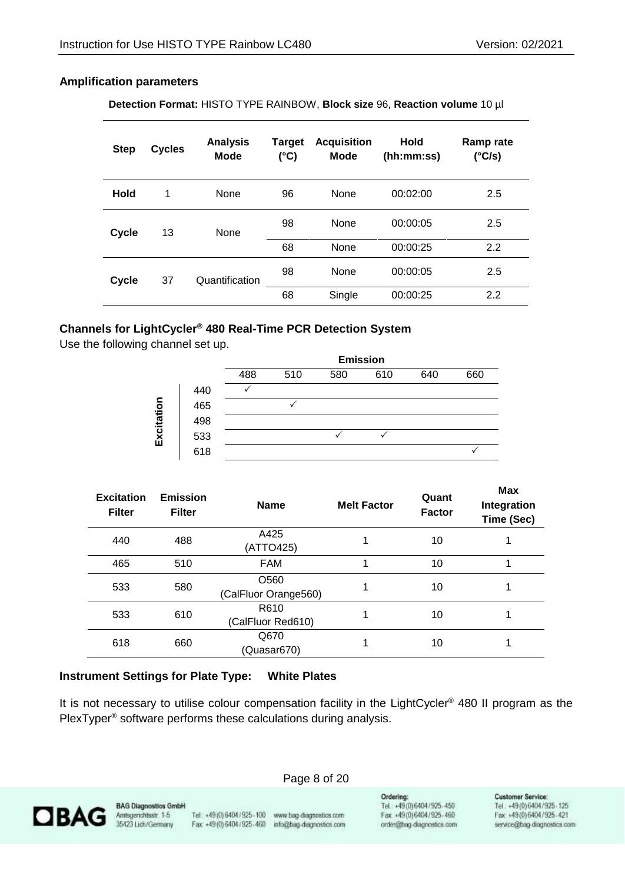#### **Amplification parameters**

**Detection Format:** HISTO TYPE RAINBOW, **Block size** 96, **Reaction volume** 10 µl

| <b>Step</b> | <b>Cycles</b> | <b>Analysis</b><br><b>Mode</b> | <b>Target</b><br>$(^{\circ}C)$ | <b>Acquisition</b><br>Mode | <b>Hold</b><br>(hh:mm:ss) | Ramp rate<br>$(^{\circ}C/s)$ |
|-------------|---------------|--------------------------------|--------------------------------|----------------------------|---------------------------|------------------------------|
| <b>Hold</b> | 1             | None                           | 96                             | None                       | 00:02:00                  | 2.5                          |
| Cycle       | 13            | None                           | 98                             | None                       | 00:00:05                  | 2.5                          |
|             |               |                                | 68                             | None                       | 00:00:25                  | 2.2                          |
| Cycle       | 37            | Quantification                 | 98                             | None                       | 00:00:05                  | 2.5                          |
|             |               |                                | 68                             | Single                     | 00:00:25                  | 2.2                          |

#### **Channels for LightCycler® 480 Real-Time PCR Detection System**

Use the following channel set up.



| <b>Excitation</b><br><b>Filter</b> | <b>Emission</b><br><b>Filter</b> | <b>Name</b>                              | <b>Melt Factor</b> | Quant<br><b>Factor</b> | <b>Max</b><br>Integration<br>Time (Sec) |
|------------------------------------|----------------------------------|------------------------------------------|--------------------|------------------------|-----------------------------------------|
| 440                                | 488                              | A425<br>(ATTO425)                        |                    | 10                     |                                         |
| 465                                | 510                              | <b>FAM</b>                               |                    | 10                     |                                         |
| 533                                | 580                              | O <sub>560</sub><br>(CalFluor Orange560) |                    | 10                     |                                         |
| 533                                | 610                              | R610<br>(CalFluor Red610)                |                    | 10                     |                                         |
| 618                                | 660                              | Q670<br>(Quasar670)                      |                    | 10                     |                                         |

#### **Instrument Settings for Plate Type: White Plates**

It is not necessary to utilise colour compensation facility in the LightCycler® 480 II program as the PlexTyper® software performs these calculations during analysis.

Page 8 of 20



**BAG Diagnostics GmbH** Amtsgerichtsstr. 1-5 35423 Lich/Germany

Tel: +49 (0) 6404 / 925 - 100 www.bag-diagnostics.com Fax: +49(0)6404/925-460

info@bag-diagnostics.com

Ordering: Tel: +49(0)6404/925-450 Fax: +49(0)6404/925-460 order@bag-diagnostics.com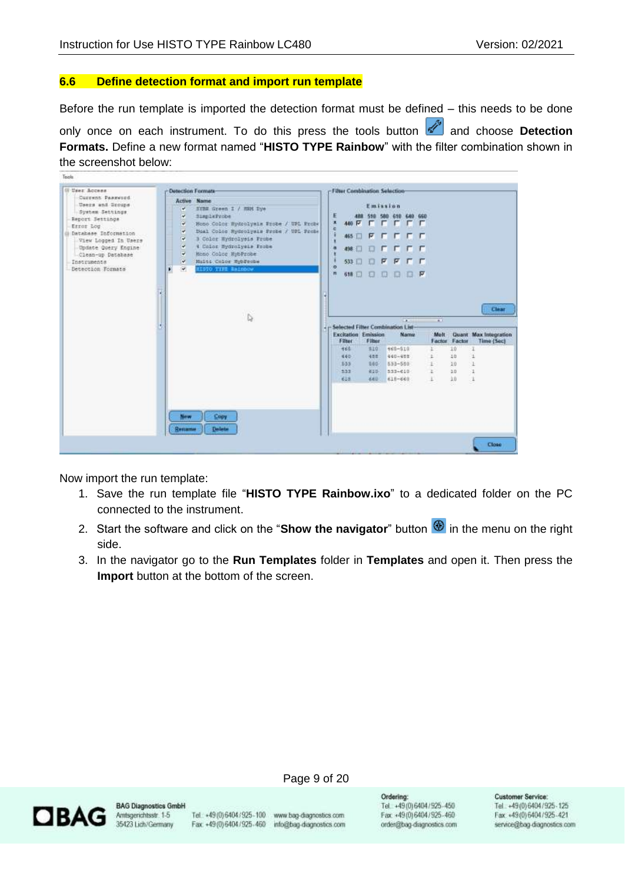#### <span id="page-8-0"></span>**6.6 Define detection format and import run template**

Before the run template is imported the detection format must be defined – this needs to be done only once on each instrument. To do this press the tools button **a**nd choose **Detection Formats.** Define a new format named "**HISTO TYPE Rainbow**" with the filter combination shown in the screenshot below:

| $\circ$<br>再                                |                                  | 198日日日日日日<br><b>MED 口 口 口 口 屋</b>                                      | <b>RREE</b>            |                      |                                              |
|---------------------------------------------|----------------------------------|------------------------------------------------------------------------|------------------------|----------------------|----------------------------------------------|
| <b>Excitation Emission</b><br>Filter<br>465 | Filter<br>510                    | $\overline{a}$<br>Selected Filter Combination List-<br>Name<br>665-510 | $\overline{1}$<br>Melt | Factor Factor<br>10  | Clear<br>Quant Max Integration<br>Time (Sec) |
| 440<br>833<br>533<br>638                    | 488<br>980<br>815<br><b>3601</b> | 440-455<br>633-680<br>553-610<br>618-660                               | E<br>z                 | 10<br>10<br>10<br>10 | $\ddot{\imath}$<br>ı                         |
|                                             |                                  |                                                                        |                        |                      |                                              |

Now import the run template:

Tools

- 1. Save the run template file "**HISTO TYPE Rainbow.ixo**" to a dedicated folder on the PC connected to the instrument.
- 2. Start the software and click on the "**Show the navigator**" button **1** in the menu on the right side.
- 3. In the navigator go to the **Run Templates** folder in **Templates** and open it. Then press the **Import** button at the bottom of the screen.



**BAG Diagnostics GmbH** Amtsgerichtsstr. 1-5 35423 Lich/Germany

Tel: +49 (0) 6404 / 925 - 100 www.bag-diagnostics.com Fax: +49(0)6404/925-460 info@bag-diagnostics.com

Page 9 of 20

Ordering: Tel. +49(0)6404/925-450 Fax: +49(0)6404/925-460 order@bag-diagnostics.com Customer Service:

Tel. +49(0)6404/925-125 Fax: +49(0)6404/925-421 service@bag-diagnostics.com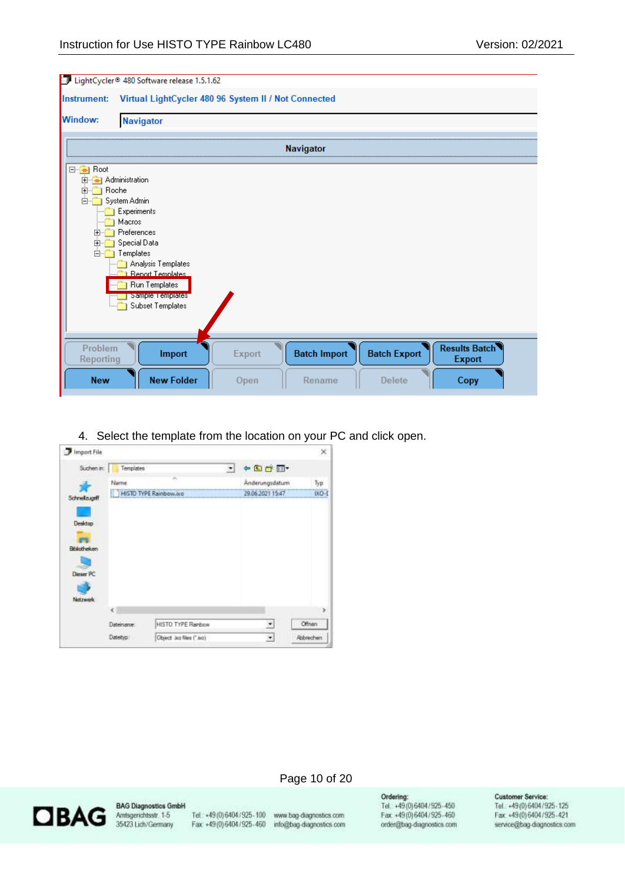| IJ<br>Instrument:                                                        | LightCycler <sup>®</sup> 480 Software release 1.5.1.62<br>Virtual LightCycler 480 96 System II / Not Connected                                                                                               |                |                               |                                      |                                               |
|--------------------------------------------------------------------------|--------------------------------------------------------------------------------------------------------------------------------------------------------------------------------------------------------------|----------------|-------------------------------|--------------------------------------|-----------------------------------------------|
| <b>Window:</b>                                                           | <b>Navigator</b>                                                                                                                                                                                             |                |                               |                                      |                                               |
|                                                                          |                                                                                                                                                                                                              |                | <b>Navigator</b>              |                                      |                                               |
| <b>E</b> -1<br>田<br>Roche<br>$\overline{H}$<br>$\overline{+}$<br>由<br>Ėŀ | Administration<br>System Admin<br>Experiments<br>Macros<br>Preferences<br>Special Data<br>Templates<br>Analysis Templates<br><b>Benot Templates</b><br>Run Templates<br>Sample Templates<br>Subset Templates |                |                               |                                      |                                               |
| Problem<br><b>Reporting</b><br><b>New</b>                                | Import<br><b>New Folder</b>                                                                                                                                                                                  | Export<br>Open | <b>Batch Import</b><br>Rename | <b>Batch Export</b><br><b>Delete</b> | <b>Results Batch</b><br><b>Export</b><br>Copy |

4. Select the template from the location on your PC and click open.

| Import File         |            |                               |              |                       | $\times$  |
|---------------------|------------|-------------------------------|--------------|-----------------------|-----------|
| Suchen in:          | Templates  |                               | $\mathbf{r}$ | $-000$                |           |
|                     | Name       | ×                             |              | <b>Anderungsdatum</b> | Typ       |
| Schneibugnff        |            | <b>HISTO TYPE Rainbow.ixo</b> |              | 29.06.2021 15:47      | DO-D      |
|                     |            |                               |              |                       |           |
| Desktop             |            |                               |              |                       |           |
| <b>Bibliotheken</b> |            |                               |              |                       |           |
|                     |            |                               |              |                       |           |
| Deser PC            |            |                               |              |                       |           |
| Netzwerk            |            |                               |              |                       |           |
|                     | ¢          |                               |              |                       | э         |
|                     | Dateiname: | <b>HISTO TYPE Ranbow</b>      |              | ×                     | Offnen    |
|                     | Dateityp:  | Object. Joo files (" Joo)     |              | $\star$               | Abbrechen |

#### Page 10 of 20



**BAG Diagnostics GmbH** Amtsgerichtsstr. 1-5<br>35423 Lich/Germany

Tel. +49 (0) 6404 / 925-100 www.bag-diagnostics.com<br>Fax: +49 (0) 6404 / 925-460 info@bag-diagnostics.com

info@bag-diagnostics.com

Ordering:<br>Tel. +49(0)6404/925-450<br>Fax: +49(0)6404/925-460 order@bag-diagnostics.com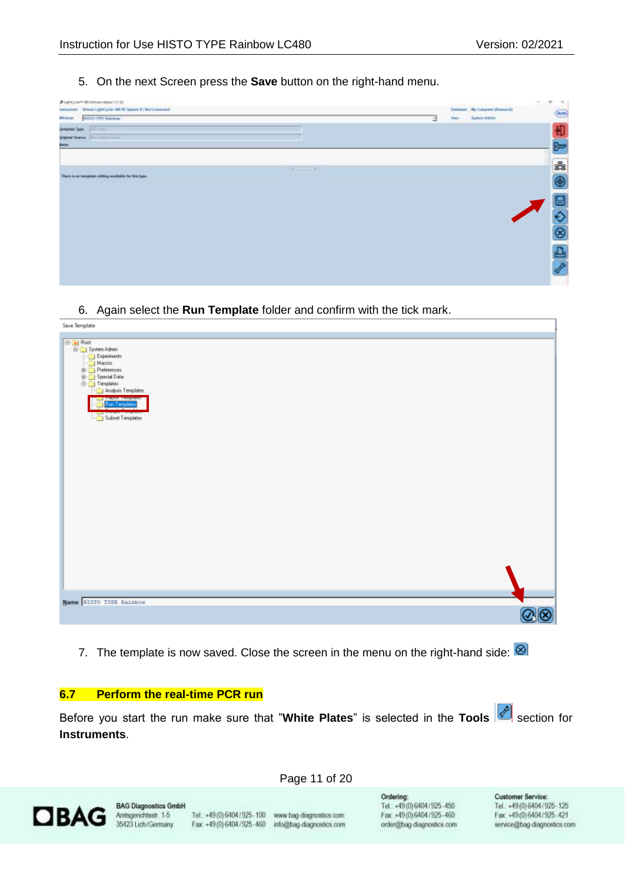5. On the next Screen press the **Save** button on the right-hand menu.

| at LightCorier® 800 between interes 1,37.00.          |   |              |                                   | $-100$<br>$\frac{1}{2} \left( \frac{1}{2} \right) \left( \frac{1}{2} \right) \left( \frac{1}{2} \right) \left( \frac{1}{2} \right)$ |
|-------------------------------------------------------|---|--------------|-----------------------------------|-------------------------------------------------------------------------------------------------------------------------------------|
| between Weart Light you (IE N laws 1) No Comment      |   |              | Detailsee: My Computer (Research) | G                                                                                                                                   |
| <b>SEETILE LIFE SUARIOR</b><br><b>Mindson</b>         | э | <b>Stati</b> | Symptonian .                      |                                                                                                                                     |
| <b>Service</b><br><b>HAVE SMILLER</b>                 |   |              |                                   |                                                                                                                                     |
| Digital State   The Common                            |   |              |                                   |                                                                                                                                     |
| <b>Sympa</b>                                          |   |              |                                   |                                                                                                                                     |
|                                                       |   |              |                                   |                                                                                                                                     |
| <b>All Card Card</b>                                  |   |              |                                   |                                                                                                                                     |
| have it we template a driving modulate for this type. |   |              |                                   |                                                                                                                                     |
| the second company of the                             |   |              |                                   | <b>8 2 3</b>                                                                                                                        |
|                                                       |   |              |                                   |                                                                                                                                     |
|                                                       |   |              |                                   | Ξ                                                                                                                                   |
|                                                       |   |              |                                   |                                                                                                                                     |
|                                                       |   |              |                                   | $\frac{6}{8}$                                                                                                                       |
|                                                       |   |              |                                   |                                                                                                                                     |
|                                                       |   |              |                                   |                                                                                                                                     |
|                                                       |   |              |                                   |                                                                                                                                     |
|                                                       |   |              |                                   |                                                                                                                                     |
|                                                       |   |              |                                   |                                                                                                                                     |
|                                                       |   |              |                                   | a<br>P                                                                                                                              |
|                                                       |   |              |                                   |                                                                                                                                     |

6. Again select the **Run Template** folder and confirm with the tick mark.

| Save Template                                                                                                                                                                                                      |
|--------------------------------------------------------------------------------------------------------------------------------------------------------------------------------------------------------------------|
| <b>E-G</b> Root<br><b>E-G</b> System Admin<br>Experiments<br>Macros<br><b>E</b> Preferences<br>E-C Special Data<br>Femplates<br>Analysis Templates<br>Turator scalesce<br><b>Run Template:</b><br>Subset Templates |
|                                                                                                                                                                                                                    |
| Mame HISTO TYPE Rainbow                                                                                                                                                                                            |

7. The template is now saved. Close the screen in the menu on the right-hand side:  $\otimes$ 

#### <span id="page-10-0"></span>**6.7 Perform the real-time PCR run**

Before you start the run make sure that "White Plates" is selected in the Tools section for **Instruments**.



Tel. +49 (0) 6404 / 925-100 www.bag-diagnostics.com Fax: +49(0)6404/925-460 info@bag-diagnostics.com Ordering: Tel: +49(0)6404/925-450 Fax: +49(0)6404/925-460 order@bag-diagnostics.com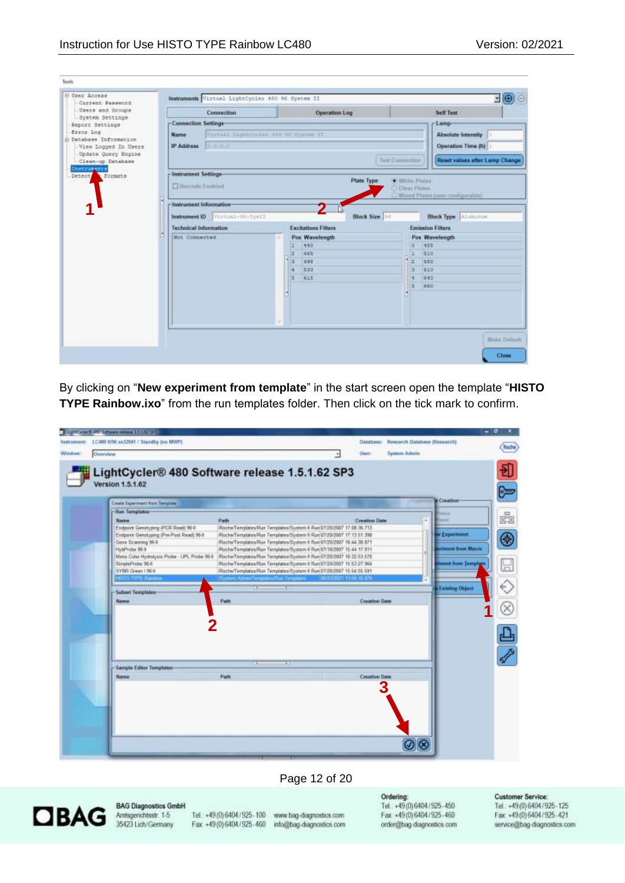| Users and Groups<br>System Settings                                                           |                                                   | Connection     | Operation Log                                     |                                      | <b>Self Test</b>                                         |
|-----------------------------------------------------------------------------------------------|---------------------------------------------------|----------------|---------------------------------------------------|--------------------------------------|----------------------------------------------------------|
| Report Settings<br>Error Log<br>Database Information.                                         | <b>Connection Settings</b><br><b>Name</b>         |                | Firmat himmeyeles 410 NCSystem II                 |                                      | Lamp-<br><b>Absolute Intensity</b>                       |
| View Logged In Users<br><b>Update Query Engine</b><br>Clean-up Database<br><b>Instruments</b> | <b>IP Address</b>                                 | 9.9.9.9        |                                                   | Tash Climnocities                    | Operation Time (h)<br>Reset values after Lamp Change     |
| Formats<br>Detect.                                                                            | <b>Instrument Settings-</b><br>El Barroda Enabled |                | <b>Plate Type:</b>                                | <b>CEWATH Planes</b><br>Clear Pintes | Mood Planet june configurable)                           |
|                                                                                               | -Instrument Information-<br>Instrument ID         | Vittal-M-Syst1 |                                                   | Block Size                           | <b>Block Type Allenance</b>                              |
|                                                                                               | <b>Technical Information</b>                      |                | <b>Excitations Filters</b>                        |                                      | <b>Emission Filters</b>                                  |
|                                                                                               | <b>Not Connected</b>                              |                | Pos Wavelength<br>440<br>465<br>455<br>553<br>610 | a<br>LY.<br>11<br>٠                  | Pos Wavelength<br>488<br>610<br>880<br>410<br>640<br>640 |

By clicking on "**New experiment from template**" in the start screen open the template "**HISTO TYPE Rainbow.ixo**" from the run templates folder. Then click on the tick mark to confirm.

|        | 1 Low War E 490 Suffered Information 12                                        |                                                                                                                                              |                                     |                              | - 8            |
|--------|--------------------------------------------------------------------------------|----------------------------------------------------------------------------------------------------------------------------------------------|-------------------------------------|------------------------------|----------------|
|        | Instrument: LC400 IE96 xn32041 / Standby (no MWP)                              |                                                                                                                                              | Database:                           | Research Database (Research) | soche)         |
| Window | Owenview                                                                       |                                                                                                                                              | <b>User:</b><br><b>Sydney Admin</b> |                              |                |
|        |                                                                                |                                                                                                                                              |                                     |                              |                |
|        | LightCycler® 480 Software release 1.5.1.62 SP3                                 |                                                                                                                                              |                                     |                              | 튑              |
|        | Version 1.5.1.62                                                               |                                                                                                                                              |                                     |                              | Þ              |
|        | Create Experiment Nors Templete                                                |                                                                                                                                              |                                     | <b>M</b> Creation<br>--      |                |
|        | -Ron Templates-                                                                |                                                                                                                                              |                                     |                              | ś              |
|        | <b>Name</b>                                                                    | Path                                                                                                                                         | <b>Creation Date</b>                | F.                           |                |
|        | Endpoint Genutyping (PCR Read) 96-8<br>Endport Genstyping (Pre-Post Read) 96-8 | Roche/Templates/Run Templates/System II Run 07/20/2007 17:08:36 713<br>Roche/Templates/Run Templates/System II Run 07/20/2007 17:13:51.398   |                                     | w Experiment                 |                |
|        | Gene Scanning 96-8                                                             | Roche/Templates/Run Templates/System ft Run 07/20/2007 16:44:36 871                                                                          |                                     |                              | $\circledcirc$ |
|        | HybProbe 36-E<br>More Color Hydrolysis Probe - UPL Probe 96 8                  | Rache/Templates/Run Templates/Bystem II Run 07/18/2007 15:44:17.911<br>:Roche/Templates/Run Templates/System II Run (7/20/2007 16:32:53.576) |                                     | <b>Brittest from Macro</b>   |                |
|        | SimileProbe 96-8                                                               | Roche/Templates-Run Templates/System 11 Run 87/20/2007 15:53:27 964                                                                          |                                     | <b>Brook from Tempty</b>     | 뉴              |
|        | SYER Given   964                                                               | RochwTemptates Run Temptates/System II Run (17/20/2007 15:54:55:391)                                                                         |                                     |                              |                |
|        | <b>BID TWE Rank</b>                                                            | Suite Advisit massivites Tenane<br>$\mathbf{r}$                                                                                              | <b>ELTANTI ISS</b>                  | <b>Existing Object</b>       |                |
|        | - Subset Templates-                                                            |                                                                                                                                              |                                     |                              |                |
|        | <b>Name</b>                                                                    | Path                                                                                                                                         | <b>Creation Date</b>                |                              |                |
|        |                                                                                |                                                                                                                                              |                                     |                              |                |
|        |                                                                                |                                                                                                                                              |                                     |                              |                |
|        |                                                                                |                                                                                                                                              |                                     |                              |                |
|        |                                                                                |                                                                                                                                              |                                     |                              |                |
|        |                                                                                |                                                                                                                                              |                                     |                              |                |
|        | - Sample Editor Templates                                                      | 53<br>×                                                                                                                                      |                                     |                              |                |
|        | Martin                                                                         | Path.                                                                                                                                        | <b>Creation Date</b>                |                              |                |
|        |                                                                                |                                                                                                                                              | 3                                   |                              |                |
|        |                                                                                |                                                                                                                                              |                                     |                              |                |
|        |                                                                                |                                                                                                                                              |                                     |                              |                |
|        |                                                                                |                                                                                                                                              |                                     |                              |                |
|        |                                                                                |                                                                                                                                              |                                     |                              |                |
|        |                                                                                |                                                                                                                                              |                                     |                              |                |
|        |                                                                                |                                                                                                                                              |                                     |                              |                |
|        |                                                                                |                                                                                                                                              |                                     |                              |                |

#### Page 12 of 20



**BAG Diagnostics GmbH** Amtsgerichtsstr. 1-5<br>35423 Lich/Germany

Tel. +49 (0) 6404 / 925-100 www.bag-diagnostics.com Fax: +49(0)6404/925-460

info@bag-diagnostics.com

Ordering: Tel: +49(0)6404/925-450 Fax: +49(0)6404/925-460 order@bag-diagnostics.com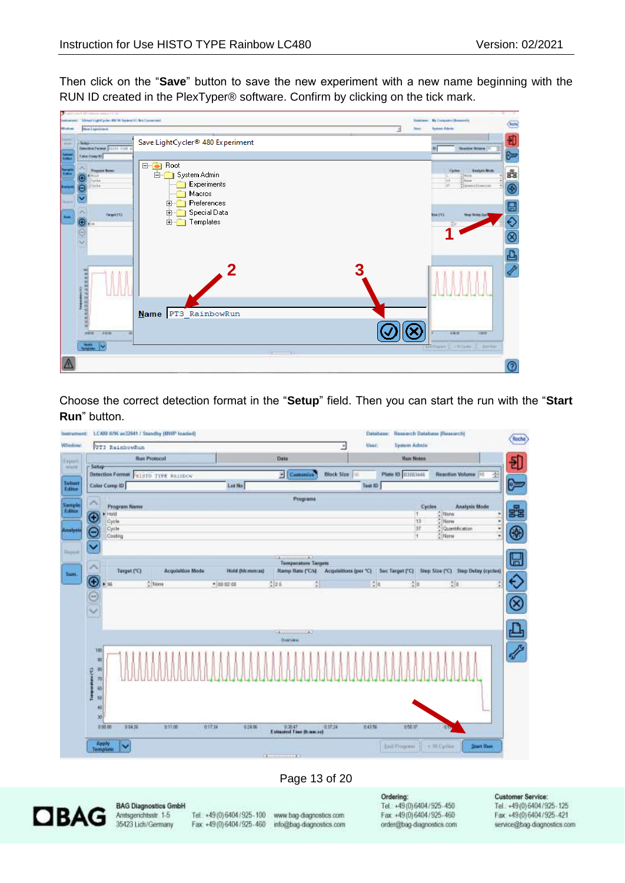Then click on the "**Save**" button to save the new experiment with a new name beginning with the RUN ID created in the PlexTyper® software. Confirm by clicking on the tick mark.

| σ<br><b>Industrial Control</b><br>Wolver | aper city \$ 49 indicate wide (1). In<br>Wennie Lightfurier #6110 Append it   Not Licenseously<br><b>New Experiment</b> |                                                                                                                                   | <b>Sank</b> | Stateholder: My Company (Beautiful)<br>G<br><b>Vythesi Adamin</b>                                                                                                                                            |
|------------------------------------------|-------------------------------------------------------------------------------------------------------------------------|-----------------------------------------------------------------------------------------------------------------------------------|-------------|--------------------------------------------------------------------------------------------------------------------------------------------------------------------------------------------------------------|
| 1,1141<br>$-$                            | Side<br><b>Determed Termed STEER CYPE 9</b><br><b>Deter Comp 13</b>                                                     | Save LightCycler® 480 Experiment                                                                                                  |             | <b>Name Arena</b><br>6                                                                                                                                                                                       |
| F<br><b>Barry</b><br><b>College</b>      | <b>Pressure Name</b><br>(mild)<br>$144 +$<br>Grite.<br><b>TeamERX</b><br>⊛. –                                           | □ <u>--</u> Root<br>Ė-A<br>System Admin<br>Experiments<br>Macros<br>Preferences<br> 主⊡<br>Special Data<br>画<br><b>h</b> Templates |             | <b>Castro</b><br><b>Brandy of Mode</b><br>ge.<br>Theme.<br>$^{11.1}$<br>믕<br><b>Buin</b><br>$\overline{\odot}$<br>TOAMHERHAKEN<br>⊟<br><b>Wee CTX</b><br><b>Thry Delin Dan</b><br>$\overline{\diamond}$<br>Ø |
|                                          | <b>CONSTRUCT</b><br><b>DEAN</b><br>3.01.01<br>÷<br>$\frac{1}{2}$ $\frac{1}{2}$                                          | Name PT3 RainbowRun                                                                                                               | 3           | 凸夕<br>515.75<br>1.88<br><b>Millione II, Intitude II</b><br><b>Smith</b>                                                                                                                                      |
|                                          |                                                                                                                         | $1 - 11$                                                                                                                          |             | ⊚                                                                                                                                                                                                            |

Choose the correct detection format in the "**Setup**" field. Then you can start the run with the "**Start Run**" button.



#### Page 13 of 20



**BAG Diagnostics GmbH** Amtsgerichtsstr. 1-5 35423 Lich/Germany

Tel: +49 (0) 6404 / 925 - 100 www.bag-diagnostics.com Fax: +49(0)6404/925-460

info@bag-diagnostics.com

Ordering: Tel: +49(0)6404/925-450 Fax: +49(0)6404/925-460 order@bag-diagnostics.com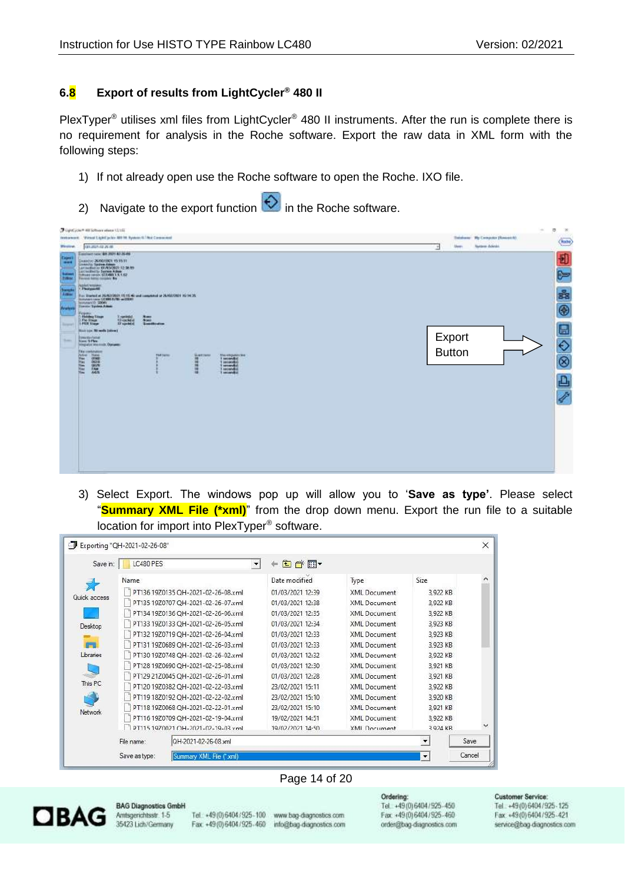#### <span id="page-13-0"></span>**6.8 Export of results from LightCycler® 480 II**

PlexTyper<sup>®</sup> utilises xml files from LightCycler<sup>®</sup> 480 II instruments. After the run is complete there is no requirement for analysis in the Roche software. Export the raw data in XML form with the following steps:

- 1) If not already open use the Roche software to open the Roche. IXO file.
- 2) Navigate to the export function  $\Theta$  in the Roche software.

3) Select Export. The windows pop up will allow you to '**Save as type'**. Please select "**Summary XML File (\*xml)**" from the drop down menu. Export the run file to a suitable location for import into PlexTyper® software.

| Save in:      | LC480 PES  |                                    | 白び囲<br><b>Sec.</b> |                     |                          |      |
|---------------|------------|------------------------------------|--------------------|---------------------|--------------------------|------|
|               | Name       |                                    | Date modified      | Type                | Size                     |      |
|               |            | PT136 19Z0135 QH-2021-02-26-08.xml | 01/03/2021 12:39   | XMI Document        | 3,922 KB                 |      |
| Quick access  |            | PT135 19Z0707 QH-2021-02-26-07.xml | 01/03/2021 12:38   | XML Document        | 3,922 KB                 |      |
|               |            | PT134 19Z0136 OH-2021-02-26-06.xml | 01/03/2021 12:35   | XML Document        | 3,922 KB                 |      |
| Desktop       |            | PT133 19Z0133 OH-2021-02-26-05.xml | 01/03/2021 12:34   | XMI Document        | 3,923 KB                 |      |
|               |            | PT132 19Z0719 OH-2021-02-26-04.xml | 01/03/2021 12:33   | XML Document        | 3,923 KB                 |      |
| <b>Gentle</b> |            | PT131 19Z0689 QH-2021-02-26-03.xml | 01/03/2021 12:33   | <b>XML</b> Document | 3,923 KB                 |      |
| Libraries     |            | PT130 19Z0748 QH-2021-02-26-02.xml | 01/03/2021 12:32   | XML Document        | 3,922 KB                 |      |
|               |            | PT128 19Z0690 OH-2021-02-25-08.xml | 01/03/2021 12:30   | XML Document        | 3.921 KB                 |      |
|               |            | PT129 21Z0045 QH-2021-02-26-01.xml | 01/03/2021 12:28   | XML Document        | 3,921 KB                 |      |
| This PC       |            | PT120 19Z0382 QH-2021-02-22-03.xml | 23/02/2021 15:11   | XML Document        | 3,922 KB                 |      |
|               |            | PT119 18Z0192 OH-2021-02-22-02.xml | 23/02/2021 15:10   | XMI Document        | 3,920 KB                 |      |
| Network       |            | PT118 19Z0068 QH-2021-02-22-01.xml | 23/02/2021 15:10   | XML Document        | 3,921 KB                 |      |
|               |            | PT116 19Z0709 OH-2021-02-19-04.xml | 19/02/2021 14:51   | <b>XML</b> Document | 3,922 KB                 |      |
|               |            | DT115 1070021 OH-2021-02-10-03 vml | 19/02/2021 14-50   | <b>XMI Document</b> | 3 924 KR                 |      |
|               | File name: | QH-2021-02-26-08.xml               |                    |                     | $\overline{\phantom{a}}$ | Save |

#### Page 14 of 20



**BAG Diagnostics GmbH** Amtsgerichtsstr. 1-5 35423 Lich/Germany

Tel: +49 (0) 6404 / 925 - 100 www.bag-diagnostics.com Fax: +49(0)6404/925-460 info@bag-diagnostics.com

Tel: +49(0)6404/925-450 Fax: +49(0)6404/925-460 order@bag-diagnostics.com

Ordering:

**Customer Service:** 

Tel. +49 (0) 6404/925-125 Fax: +49(0)6404/925-421 service@bag-diagnostics.com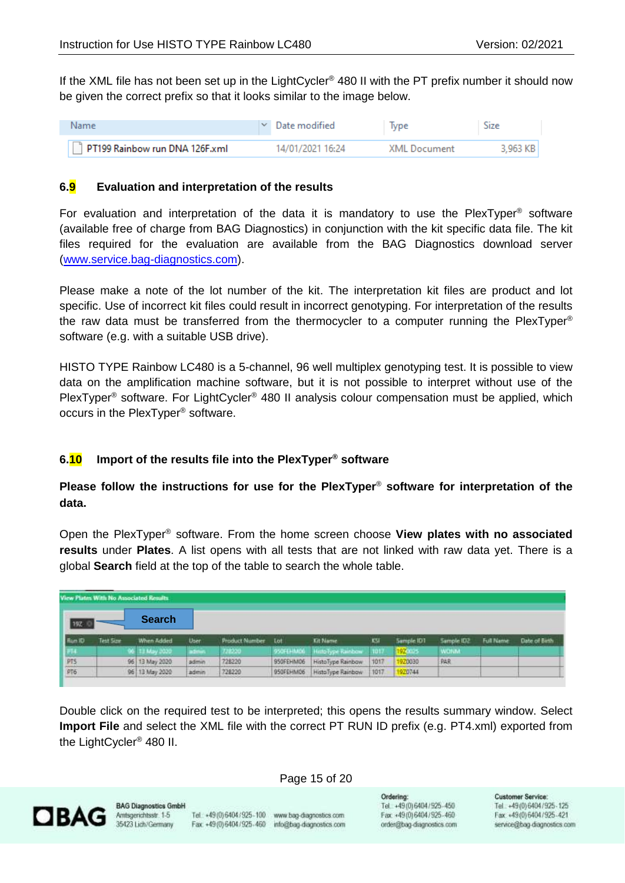If the XML file has not been set up in the LightCycler<sup>®</sup> 480 II with the PT prefix number it should now be given the correct prefix so that it looks similar to the image below.

| Name                           | $\vee$ Date modified | <b>lype</b>         |            |
|--------------------------------|----------------------|---------------------|------------|
| PT199 Rainbow run DNA 126F.xml | 14/01/2021 16:24     | <b>XML</b> Document | $3.963$ KB |

#### <span id="page-14-0"></span>**6.9 Evaluation and interpretation of the results**

For evaluation and interpretation of the data it is mandatory to use the PlexTyper<sup>®</sup> software (available free of charge from BAG Diagnostics) in conjunction with the kit specific data file. The kit files required for the evaluation are available from the BAG Diagnostics download server [\(www.service.bag-diagnostics.com\)](http://www.service.bag-diagnostics.com/).

Please make a note of the lot number of the kit. The interpretation kit files are product and lot specific. Use of incorrect kit files could result in incorrect genotyping. For interpretation of the results the raw data must be transferred from the thermocycler to a computer running the PlexTyper<sup>®</sup> software (e.g. with a suitable USB drive).

HISTO TYPE Rainbow LC480 is a 5-channel, 96 well multiplex genotyping test. It is possible to view data on the amplification machine software, but it is not possible to interpret without use of the PlexTyper<sup>®</sup> software. For LightCycler<sup>®</sup> 480 II analysis colour compensation must be applied, which occurs in the PlexTyper® software.

#### <span id="page-14-1"></span>**6.10 Import of the results file into the PlexTyper® software**

#### **Please follow the instructions for use for the PlexTyper**® **software for interpretation of the data.**

Open the PlexTyper® software. From the home screen choose **View plates with no associated results** under **Plates**. A list opens with all tests that are not linked with raw data yet. There is a global **Search** field at the top of the table to search the whole table.

| View Plates With No Associated Results |           |                |          |                       |           |                   |         |            |            |                  |               |
|----------------------------------------|-----------|----------------|----------|-----------------------|-----------|-------------------|---------|------------|------------|------------------|---------------|
| 19Z                                    |           | <b>Search</b>  |          |                       |           |                   |         |            |            |                  |               |
| Flun ID                                | Test Size | When Added     | User.    | <b>Product Number</b> | Lot       | <b>Kit Name</b>   | KSI     | Sample IDT | Sample IDZ | <b>Full Name</b> | Date of Birth |
| 36                                     |           | 96 13 May 2020 | actimin. | 728230                | 950FEHM00 | HittoType Rainbow | $-1017$ | 192003     | WON'M.     |                  |               |
| $\frac{\text{PTS}}{\text{PT6}}$        |           | 96 13 May 2020 | admin    | 728220                | 950FEHM06 | HistoType Rainbow | 1017    | 920030     | <b>PAR</b> |                  |               |
|                                        |           | 96 13 May 2020 | admin    | 728220                | 950FEHM06 | HistoType Rainbow | 1017    | 920744     |            |                  |               |

Double click on the required test to be interpreted; this opens the results summary window. Select **Import File** and select the XML file with the correct PT RUN ID prefix (e.g. PT4.xml) exported from the LightCycler® 480 II.

Page 15 of 20



**BAG Diagnostics GmbH** Amtsgerichtsstr. 1-5 35423 Lich/Germany

Tel.: +49 (0) 6404 / 925-100 www.bag-diagnostics.com Fax: +49(0)6404/925-460 info@bag-diagnostics.com

Ordering: Tel: +49(0)6404/925-450 Fax: +49(0)6404/925-460 order@bag-diagnostics.com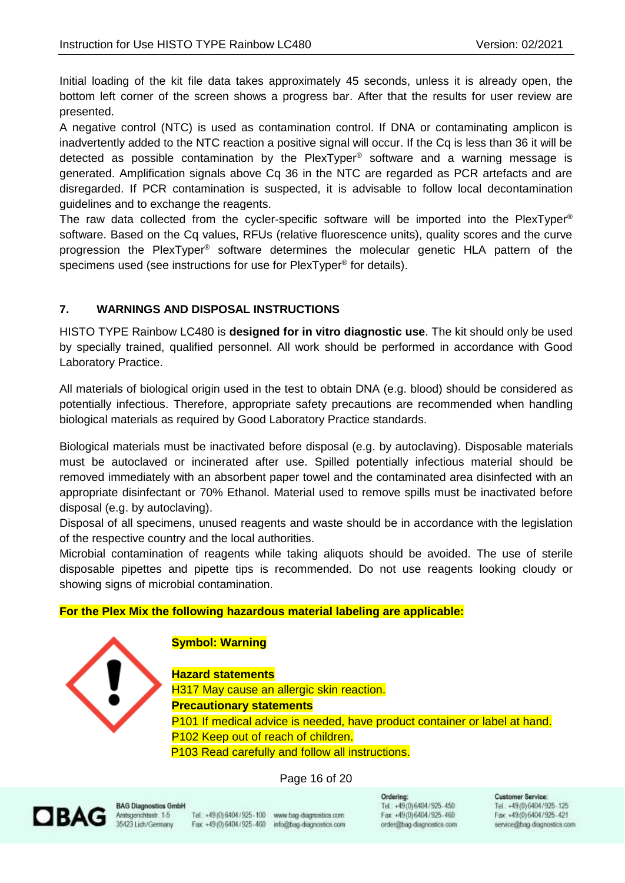Initial loading of the kit file data takes approximately 45 seconds, unless it is already open, the bottom left corner of the screen shows a progress bar. After that the results for user review are presented.

A negative control (NTC) is used as contamination control. If DNA or contaminating amplicon is inadvertently added to the NTC reaction a positive signal will occur. If the Cq is less than 36 it will be detected as possible contamination by the PlexTyper® software and a warning message is generated. Amplification signals above Cq 36 in the NTC are regarded as PCR artefacts and are disregarded. If PCR contamination is suspected, it is advisable to follow local decontamination guidelines and to exchange the reagents.

The raw data collected from the cycler-specific software will be imported into the PlexTyper® software. Based on the Cq values, RFUs (relative fluorescence units), quality scores and the curve progression the PlexTyper ® software determines the molecular genetic HLA pattern of the specimens used (see instructions for use for PlexTyper<sup>®</sup> for details).

#### <span id="page-15-0"></span>**7. WARNINGS AND DISPOSAL INSTRUCTIONS**

HISTO TYPE Rainbow LC480 is **designed for in vitro diagnostic use**. The kit should only be used by specially trained, qualified personnel. All work should be performed in accordance with Good Laboratory Practice.

All materials of biological origin used in the test to obtain DNA (e.g. blood) should be considered as potentially infectious. Therefore, appropriate safety precautions are recommended when handling biological materials as required by Good Laboratory Practice standards.

Biological materials must be inactivated before disposal (e.g. by autoclaving). Disposable materials must be autoclaved or incinerated after use. Spilled potentially infectious material should be removed immediately with an absorbent paper towel and the contaminated area disinfected with an appropriate disinfectant or 70% Ethanol. Material used to remove spills must be inactivated before disposal (e.g. by autoclaving).

Disposal of all specimens, unused reagents and waste should be in accordance with the legislation of the respective country and the local authorities.

Microbial contamination of reagents while taking aliquots should be avoided. The use of sterile disposable pipettes and pipette tips is recommended. Do not use reagents looking cloudy or showing signs of microbial contamination.

#### **For the Plex Mix the following hazardous material labeling are applicable:**



#### **Symbol: Warning**

**Hazard statements H317 May cause an allergic skin reaction. Precautionary statements** P101 If medical advice is needed, have product container or label at hand. P102 Keep out of reach of children. P103 Read carefully and follow all instructions.

Page 16 of 20



**BAG Diagnostics GmbH** Amtsgerichtsstr. 1-5 35423 Lich/Germany

Tel.: +49 (0) 6404 / 925-100 www.bag-diagnostics.com Fax: +49(0)6404/925-460 info@bag-diagnostics.com

Ordering: Tel: +49(0)6404/925-450 Fax: +49(0)6404/925-460 order@bag-diagnostics.com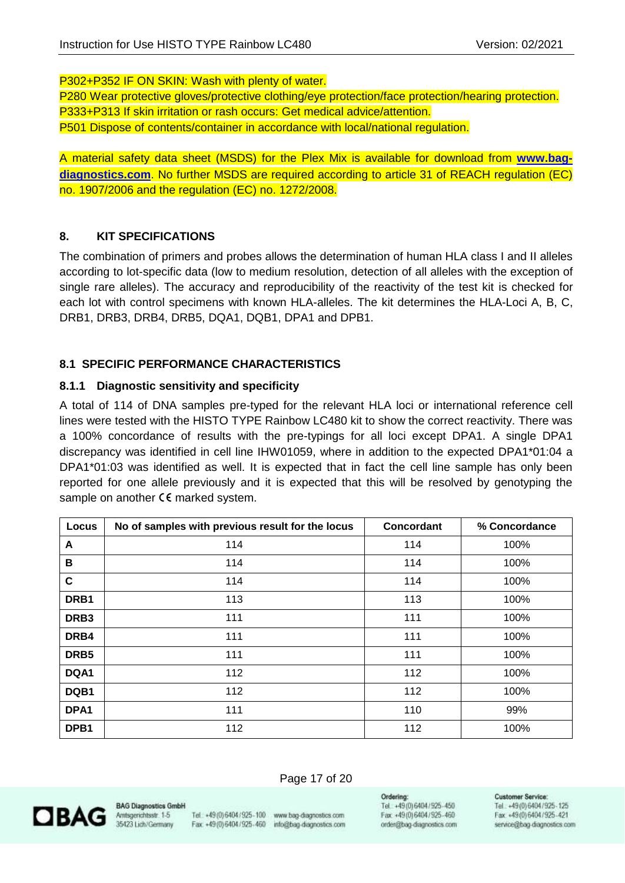P302+P352 IF ON SKIN: Wash with plenty of water.

P280 Wear protective gloves/protective clothing/eye protection/face protection/hearing protection. P333+P313 If skin irritation or rash occurs: Get medical advice/attention. P501 Dispose of contents/container in accordance with local/national regulation.

A material safety data sheet (MSDS) for the Plex Mix is available for download from **[www.bag](http://www.bag-diagnostics.com/)[diagnostics.com](http://www.bag-diagnostics.com/)**. No further MSDS are required according to article 31 of REACH regulation (EC) no. 1907/2006 and the regulation (EC) no. 1272/2008.

#### <span id="page-16-0"></span>**8. KIT SPECIFICATIONS**

The combination of primers and probes allows the determination of human HLA class I and II alleles according to lot-specific data (low to medium resolution, detection of all alleles with the exception of single rare alleles). The accuracy and reproducibility of the reactivity of the test kit is checked for each lot with control specimens with known HLA-alleles. The kit determines the HLA-Loci A, B, C, DRB1, DRB3, DRB4, DRB5, DQA1, DQB1, DPA1 and DPB1.

#### **8.1 SPECIFIC PERFORMANCE CHARACTERISTICS**

#### <span id="page-16-1"></span>**8.1.1 Diagnostic sensitivity and specificity**

A total of 114 of DNA samples pre-typed for the relevant HLA loci or international reference cell lines were tested with the HISTO TYPE Rainbow LC480 kit to show the correct reactivity. There was a 100% concordance of results with the pre-typings for all loci except DPA1. A single DPA1 discrepancy was identified in cell line IHW01059, where in addition to the expected DPA1\*01:04 a DPA1\*01:03 was identified as well. It is expected that in fact the cell line sample has only been reported for one allele previously and it is expected that this will be resolved by genotyping the sample on another  $C \epsilon$  marked system.

| Locus            | No of samples with previous result for the locus | Concordant | % Concordance |
|------------------|--------------------------------------------------|------------|---------------|
| A                | 114                                              | 114        | 100%          |
| В                | 114                                              | 114        | 100%          |
| $\mathbf c$      | 114                                              | 114        | 100%          |
| DRB1             | 113                                              | 113        | 100%          |
| DRB <sub>3</sub> | 111                                              | 111        | 100%          |
| DRB4             | 111                                              | 111        | 100%          |
| DRB5             | 111                                              | 111        | 100%          |
| DQA1             | 112                                              | 112        | 100%          |
| DQB1             | 112                                              | 112        | 100%          |
| DPA <sub>1</sub> | 111                                              | 110        | 99%           |
| DPB1             | 112                                              | 112        | 100%          |

#### Page 17 of 20



**BAG Diagnostics GmbH** Amtsgerichtsstr. 1-5 35423 Lich/Germany

Tel.: +49 (0) 6404 / 925-100 www.bag-diagnostics.com Fax: +49(0)6404/925-460

info@bag-diagnostics.com

Ordering: Tel: +49(0)6404/925-450 Fax: +49(0)6404/925-460 order@bag-diagnostics.com

#### Customer Service:

Tel. +49 (0) 6404/925-125 Fax: +49(0)6404/925-421 service@bag-diagnostics.com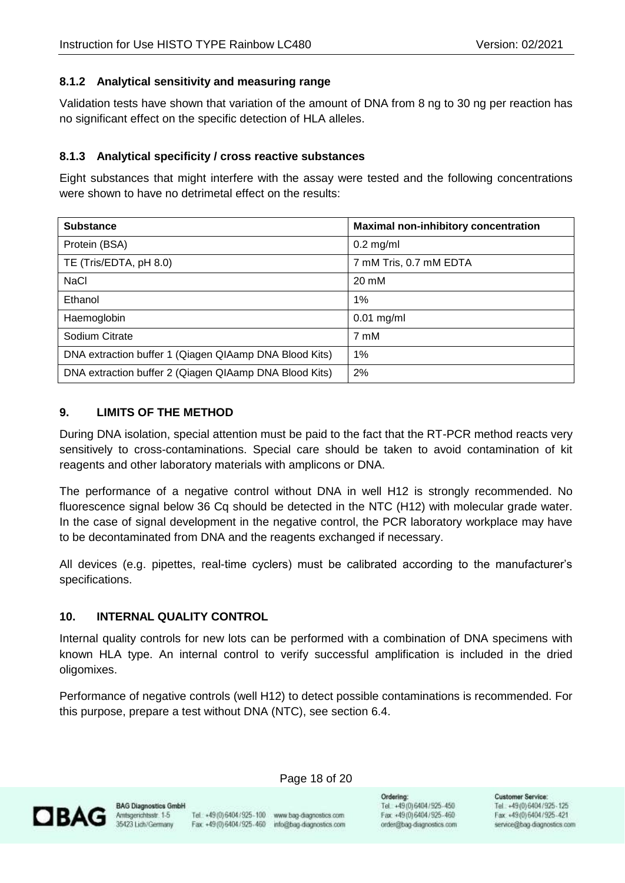#### <span id="page-17-0"></span>**8.1.2 Analytical sensitivity and measuring range**

Validation tests have shown that variation of the amount of DNA from 8 ng to 30 ng per reaction has no significant effect on the specific detection of HLA alleles.

#### <span id="page-17-1"></span>**8.1.3 Analytical specificity / cross reactive substances**

Eight substances that might interfere with the assay were tested and the following concentrations were shown to have no detrimetal effect on the results:

| <b>Substance</b>                                       | <b>Maximal non-inhibitory concentration</b> |
|--------------------------------------------------------|---------------------------------------------|
| Protein (BSA)                                          | $0.2$ mg/ml                                 |
| TE (Tris/EDTA, pH 8.0)                                 | 7 mM Tris, 0.7 mM EDTA                      |
| <b>NaCl</b>                                            | $20 \text{ mM}$                             |
| Ethanol                                                | 1%                                          |
| Haemoglobin                                            | $0.01$ mg/ml                                |
| Sodium Citrate                                         | 7 mM                                        |
| DNA extraction buffer 1 (Qiagen QIAamp DNA Blood Kits) | 1%                                          |
| DNA extraction buffer 2 (Qiagen QIAamp DNA Blood Kits) | 2%                                          |

#### <span id="page-17-2"></span>**9. LIMITS OF THE METHOD**

During DNA isolation, special attention must be paid to the fact that the RT-PCR method reacts very sensitively to cross-contaminations. Special care should be taken to avoid contamination of kit reagents and other laboratory materials with amplicons or DNA.

The performance of a negative control without DNA in well H12 is strongly recommended. No fluorescence signal below 36 Cq should be detected in the NTC (H12) with molecular grade water. In the case of signal development in the negative control, the PCR laboratory workplace may have to be decontaminated from DNA and the reagents exchanged if necessary.

All devices (e.g. pipettes, real-time cyclers) must be calibrated according to the manufacturer's specifications.

#### <span id="page-17-3"></span>**10. INTERNAL QUALITY CONTROL**

Internal quality controls for new lots can be performed with a combination of DNA specimens with known HLA type. An internal control to verify successful amplification is included in the dried oligomixes.

Performance of negative controls (well H12) to detect possible contaminations is recommended. For this purpose, prepare a test without DNA (NTC), see section 6.4.



**BAG Diagnostics GmbH** Amtsgerichtsstr. 1-5 35423 Lich/Germany

Tel.: +49 (0) 6404 / 925-100 www.bag-diagnostics.com Fax: +49(0)6404/925-460 info@bag-diagnostics.com

Page 18 of 20

Ordering: Tel: +49(0)6404/925-450 Fax: +49(0)6404/925-460 order@bag-diagnostics.com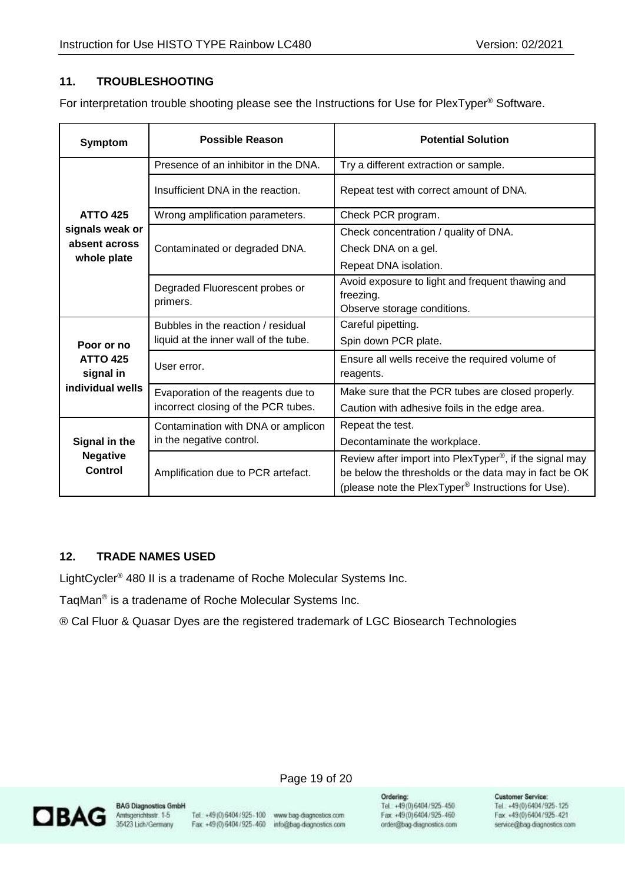#### <span id="page-18-0"></span>**11. TROUBLESHOOTING**

For interpretation trouble shooting please see the Instructions for Use for PlexTyper® Software.

| <b>Symptom</b>                    | <b>Possible Reason</b>                     | <b>Potential Solution</b>                                                                                                                                                                      |
|-----------------------------------|--------------------------------------------|------------------------------------------------------------------------------------------------------------------------------------------------------------------------------------------------|
|                                   | Presence of an inhibitor in the DNA.       | Try a different extraction or sample.                                                                                                                                                          |
|                                   | Insufficient DNA in the reaction.          | Repeat test with correct amount of DNA.                                                                                                                                                        |
| <b>ATTO 425</b>                   | Wrong amplification parameters.            | Check PCR program.                                                                                                                                                                             |
| signals weak or                   |                                            | Check concentration / quality of DNA.                                                                                                                                                          |
| absent across                     | Contaminated or degraded DNA.              | Check DNA on a gel.                                                                                                                                                                            |
| whole plate                       |                                            | Repeat DNA isolation.                                                                                                                                                                          |
|                                   | Degraded Fluorescent probes or<br>primers. | Avoid exposure to light and frequent thawing and<br>freezing.<br>Observe storage conditions.                                                                                                   |
|                                   | Bubbles in the reaction / residual         | Careful pipetting.                                                                                                                                                                             |
| Poor or no                        | liquid at the inner wall of the tube.      | Spin down PCR plate.                                                                                                                                                                           |
| <b>ATTO 425</b><br>signal in      | User error.                                | Ensure all wells receive the required volume of<br>reagents.                                                                                                                                   |
| individual wells                  | Evaporation of the reagents due to         | Make sure that the PCR tubes are closed properly.                                                                                                                                              |
|                                   | incorrect closing of the PCR tubes.        | Caution with adhesive foils in the edge area.                                                                                                                                                  |
|                                   | Contamination with DNA or amplicon         | Repeat the test.                                                                                                                                                                               |
| Signal in the                     | in the negative control.                   | Decontaminate the workplace.                                                                                                                                                                   |
| <b>Negative</b><br><b>Control</b> | Amplification due to PCR artefact.         | Review after import into PlexTyper <sup>®</sup> , if the signal may<br>be below the thresholds or the data may in fact be OK<br>(please note the PlexTyper <sup>®</sup> Instructions for Use). |

#### <span id="page-18-1"></span>**12. TRADE NAMES USED**

LightCycler® 480 II is a tradename of Roche Molecular Systems Inc.

TaqMan® is a tradename of Roche Molecular Systems Inc.

® Cal Fluor & Quasar Dyes are the registered trademark of LGC Biosearch Technologies



**BAG Diagnostics GmbH** Amtsgerichtsstr. 1-5<br>35423 Lich/Germany

Tel. +49 (0) 6404 / 925-100 www.bag-diagnostics.com Fax: +49(0)6404/925-460 info@bag-diagnostics.com

Page 19 of 20

Ordering: Tel: +49(0)6404/925-450 Fax: +49(0)6404/925-460 order@bag-diagnostics.com **Customer Service:** 

Tel. +49(0)6404/925-125 Fax: +49(0)6404/925-421 service@bag-diagnostics.com